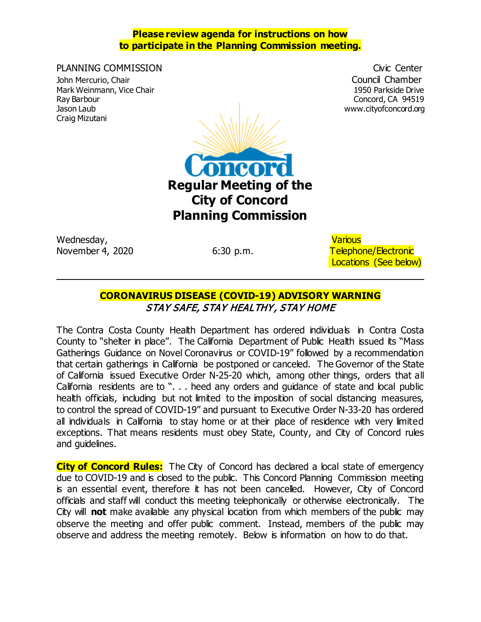#### **Please review agenda for instructions on how to participate in the Planning Commission meeting.**

PLANNING COMMISSION **COMMISSION** Civic Center John Mercurio, Chair **Council Chamber**<br>Mark Weinmann, Vice Chair **Council Chamber** Council Chamber<br>Mark Weinmann, Vice Chair Mark Weinmann, Vice Chair Craig Mizutani



Wednesday, Various

6:30 p.m. Telephone/Electronic Locations (See below)

www.cityofconcord.org

# **CORONAVIRUS DISEASE (COVID-19) ADVISORY WARNING** STAY SAFE, STAY HEALTHY, STAY HOME

The Contra Costa County Health Department has ordered individuals in Contra Costa County to "shelter in place". The California Department of Public Health issued its "Mass Gatherings Guidance on Novel Coronavirus or COVID-19" followed by a recommendation that certain gatherings in California be postponed or canceled. The Governor of the State of California issued Executive Order N-25-20 which, among other things, orders that all California residents are to ". . . heed any orders and guidance of state and local public health officials, including but not limited to the imposition of social distancing measures, to control the spread of COVID-19" and pursuant to Executive Order N-33-20 has ordered all individuals in California to stay home or at their place of residence with very limited exceptions. That means residents must obey State, County, and City of Concord rules and guidelines.

**City of Concord Rules:** The City of Concord has declared a local state of emergency due to COVID-19 and is closed to the public. This Concord Planning Commission meeting is an essential event, therefore it has not been cancelled. However, City of Concord officials and staff will conduct this meeting telephonically or otherwise electronically. The City will **not** make available any physical location from which members of the public may observe the meeting and offer public comment. Instead, members of the public may observe and address the meeting remotely. Below is information on how to do that.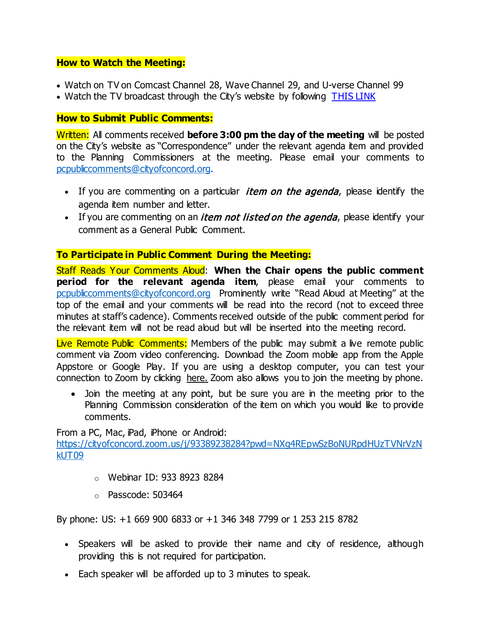### **How to Watch the Meeting:**

- Watch on TV on Comcast Channel 28, Wave Channel 29, and U-verse Channel 99
- Watch the TV broadcast through the City's website by following [THIS LINK](http://204.195.93.6/cablecastapi/live?channel_id=1&use_cdn=true)

# **How to Submit Public Comments:**

Written: All comments received **before 3:00 pm the day of the meeting** will be posted on the City's website as "Correspondence" under the relevant agenda item and provided to the Planning Commissioners at the meeting. Please email your comments to [pcpubliccomments@cityofconcord.org.](mailto:pcpubliccomments@cityofconcord.org)

- If you are commenting on a particular *item on the agenda*, please identify the agenda item number and letter.
- If you are commenting on an *item not listed on the agenda*, please identify your comment as a General Public Comment.

# **To Participate in Public Comment During the Meeting:**

Staff Reads Your Comments Aloud: **When the Chair opens the public comment period for the relevant agenda item**, please email your comments to [pcpubliccomments@cityofconcord.org](mailto:pcpubliccomments@cityofconcord.org) Prominently write "Read Aloud at Meeting" at the top of the email and your comments will be read into the record (not to exceed three minutes at staff's cadence). Comments received outside of the public comment period for the relevant item will not be read aloud but will be inserted into the meeting record.

Live Remote Public Comments: Members of the public may submit a live remote public comment via Zoom video conferencing. Download the Zoom mobile app from the Apple Appstore or Google Play. If you are using a desktop computer, you can test your connection to Zoom by clicking [here.](https://www.zoom.us/join) Zoom also allows you to join the meeting by phone.

• Join the meeting at any point, but be sure you are in the meeting prior to the Planning Commission consideration of the item on which you would like to provide comments.

From a PC, Mac, iPad, iPhone or Android:

[https://cityofconcord.zoom.us/j/93389238284?pwd=NXg4REpwSzBoNURpdHUzTVNrVzN](https://cityofconcord.zoom.us/j/93389238284?pwd=NXg4REpwSzBoNURpdHUzTVNrVzNkUT09) [kUT09](https://cityofconcord.zoom.us/j/93389238284?pwd=NXg4REpwSzBoNURpdHUzTVNrVzNkUT09)

- o Webinar ID: 933 8923 8284
- o Passcode: 503464

By phone: US: +1 669 900 6833 or +1 346 348 7799 or 1 253 215 8782

- Speakers will be asked to provide their name and city of residence, although providing this is not required for participation.
- Each speaker will be afforded up to 3 minutes to speak.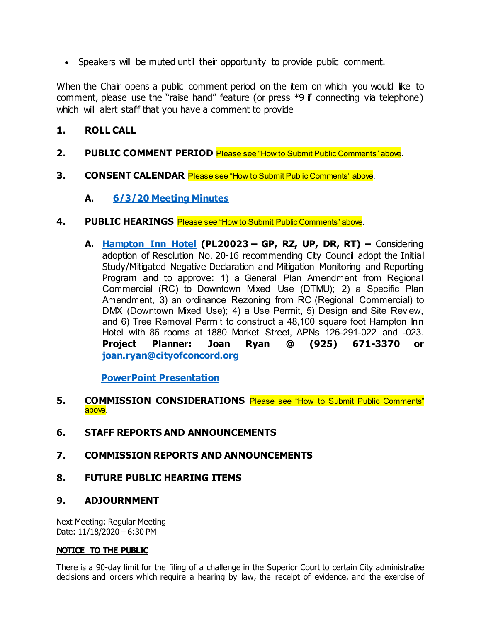• Speakers will be muted until their opportunity to provide public comment.

When the Chair opens a public comment period on the item on which you would like to comment, please use the "raise hand" feature (or press \*9 if connecting via telephone) which will alert staff that you have a comment to provide

# **1. ROLL CALL**

- **2. PUBLIC COMMENT PERIOD** Please see "How to Submit Public Comments" above.
- **3. CONSENT CALENDAR** Please see "How to Submit Public Comments" above.
	- **A. 6/3/20 [Meeting Minutes](https://www.cityofconcord.org/DocumentCenter/View/5358/060320-Draft-Minutes)**
- **4. PUBLIC HEARINGS** Please see "How to Submit Public Comments" above.
	- **A. [Hampton Inn Hotel](https://www.cityofconcord.org/DocumentCenter/View/5360/Hampton-Inn-Staff-Report-Complete) (PL20023 – GP, RZ, UP, DR, RT) –** Considering adoption of Resolution No. 20-16 recommending City Council adopt the Initial Study/Mitigated Negative Declaration and Mitigation Monitoring and Reporting Program and to approve: 1) a General Plan Amendment from Regional Commercial (RC) to Downtown Mixed Use (DTMU); 2) a Specific Plan Amendment, 3) an ordinance Rezoning from RC (Regional Commercial) to DMX (Downtown Mixed Use); 4) a Use Permit, 5) Design and Site Review, and 6) Tree Removal Permit to construct a 48,100 square foot Hampton Inn Hotel with 86 rooms at 1880 Market Street, APNs 126-291-022 and -023. **Project Planner: Joan Ryan @ (925) 671-3370 or [joan.ryan@cityofconcord.org](mailto:joan.ryan@cityofconcord.org)**

 **[PowerPoint Presentation](https://www.cityofconcord.org/DocumentCenter/View/5376/Hampton-Inn-Hotel-Powerpoint)**

- **5. COMMISSION CONSIDERATIONS** Please see "How to Submit Public Comments" above.
- **6. STAFF REPORTS AND ANNOUNCEMENTS**
- **7. COMMISSION REPORTS AND ANNOUNCEMENTS**
- **8. FUTURE PUBLIC HEARING ITEMS**

## **9. ADJOURNMENT**

Next Meeting: Regular Meeting Date: 11/18/2020 – 6:30 PM

#### **NOTICE TO THE PUBLIC**

There is a 90-day limit for the filing of a challenge in the Superior Court to certain City administrative decisions and orders which require a hearing by law, the receipt of evidence, and the exercise of